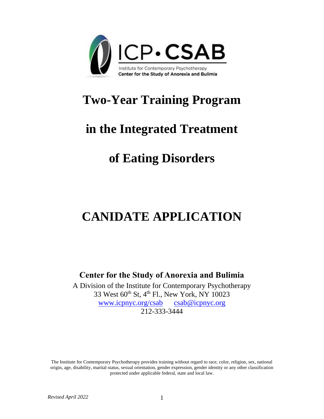

## **Two-Year Training Program**

### **in the Integrated Treatment**

# **of Eating Disorders**

# **CANIDATE APPLICATION**

**Center for the Study of Anorexia and Bulimia**

A Division of the Institute for Contemporary Psychotherapy 33 West 60th St, 4th Fl., New York, NY 10023 [www.icpnyc.org/csab](http://www.icpnyc.org/csab) [csab@icpnyc.org](mailto:csab@icpnyc.org) 212-333-3444

The Institute for Contemporary Psychotherapy provides training without regard to race, color, religion, sex, national origin, age, disability, marital status, sexual orientation, gender expression, gender identity or any other classification protected under applicable federal, state and local law.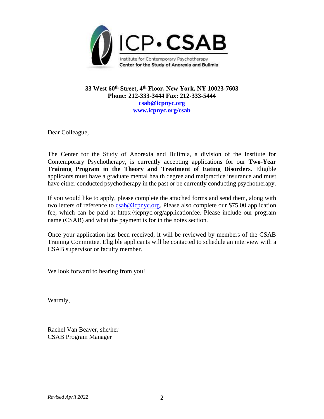

#### **33 West 60th Street, 4 th Floor, New York, NY 10023-7603 Phone: 212-333-3444 Fax: 212-333-5444 csab@icpnyc.org [www.icpnyc.org/csab](http://www.csabnyc.org/)**

Dear Colleague,

The Center for the Study of Anorexia and Bulimia, a division of the Institute for Contemporary Psychotherapy, is currently accepting applications for our **Two-Year Training Program in the Theory and Treatment of Eating Disorders**. Eligible applicants must have a graduate mental health degree and malpractice insurance and must have either conducted psychotherapy in the past or be currently conducting psychotherapy.

If you would like to apply, please complete the attached forms and send them, along with two letters of reference to  $csab@icpnyc.org$ . Please also complete our \$75.00 application fee, which can be paid at https://icpnyc.org/applicationfee. Please include our program name (CSAB) and what the payment is for in the notes section.

Once your application has been received, it will be reviewed by members of the CSAB Training Committee. Eligible applicants will be contacted to schedule an interview with a CSAB supervisor or faculty member.

We look forward to hearing from you!

Warmly,

Rachel Van Beaver, she/her CSAB Program Manager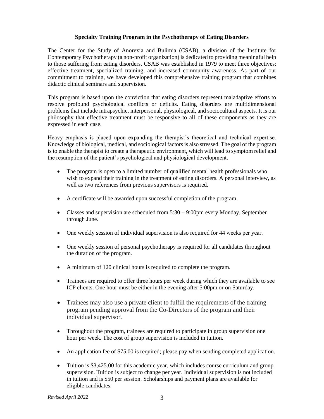#### **Specialty Training Program in the Psychotherapy of Eating Disorders**

The Center for the Study of Anorexia and Bulimia (CSAB), a division of the Institute for Contemporary Psychotherapy (a non-profit organization) is dedicated to providing meaningful help to those suffering from eating disorders. CSAB was established in 1979 to meet three objectives: effective treatment, specialized training, and increased community awareness. As part of our commitment to training, we have developed this comprehensive training program that combines didactic clinical seminars and supervision.

This program is based upon the conviction that eating disorders represent maladaptive efforts to resolve profound psychological conflicts or deficits. Eating disorders are multidimensional problems that include intrapsychic, interpersonal, physiological, and sociocultural aspects. It is our philosophy that effective treatment must be responsive to all of these components as they are expressed in each case.

Heavy emphasis is placed upon expanding the therapist's theoretical and technical expertise. Knowledge of biological, medical, and sociological factors is also stressed. The goal of the program is to enable the therapist to create a therapeutic environment, which will lead to symptom relief and the resumption of the patient's psychological and physiological development.

- The program is open to a limited number of qualified mental health professionals who wish to expand their training in the treatment of eating disorders. A personal interview, as well as two references from previous supervisors is required.
- A certificate will be awarded upon successful completion of the program.
- Classes and supervision are scheduled from 5:30 9:00pm every Monday, September through June.
- One weekly session of individual supervision is also required for 44 weeks per year.
- One weekly session of personal psychotherapy is required for all candidates throughout the duration of the program.
- A minimum of 120 clinical hours is required to complete the program.
- Trainees are required to offer three hours per week during which they are available to see ICP clients. One hour must be either in the evening after 5:00pm or on Saturday.
- Trainees may also use a private client to fulfill the requirements of the training program pending approval from the Co-Directors of the program and their individual supervisor.
- Throughout the program, trainees are required to participate in group supervision one hour per week. The cost of group supervision is included in tuition.
- An application fee of \$75.00 is required; please pay when sending completed application.
- Tuition is \$3,425.00 for this academic year, which includes course curriculum and group supervision. Tuition is subject to change per year. Individual supervision is not included in tuition and is \$50 per session. Scholarships and payment plans are available for eligible candidates.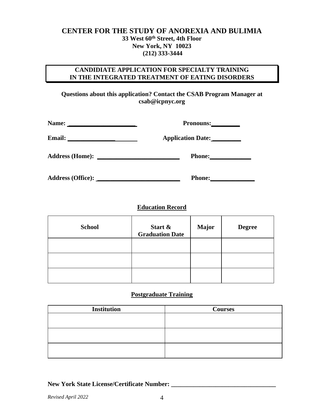#### **CENTER FOR THE STUDY OF ANOREXIA AND BULIMIA 33 West 60th Street, 4th Floor New York, NY 10023 (212) 333-3444**

#### **CANDIDIATE APPLICATION FOR SPECIALTY TRAINING IN THE INTEGRATED TREATMENT OF EATING DISORDERS**

**Questions about this application? Contact the CSAB Program Manager at csab@icpnyc.org** 

| Name:                    | Pronouns:                                                                |  |
|--------------------------|--------------------------------------------------------------------------|--|
| <b>Email:</b>            | <b>Application Date:</b>                                                 |  |
| <b>Address (Home):</b>   | <b>Phone:</b><br><u> 1980 - Jan Stein Berlin, amerikansk politiker (</u> |  |
| <b>Address (Office):</b> | <b>Phone:</b>                                                            |  |

#### **Education Record**

| <b>School</b> | Start &<br><b>Graduation Date</b> | <b>Major</b> | <b>Degree</b> |
|---------------|-----------------------------------|--------------|---------------|
|               |                                   |              |               |
|               |                                   |              |               |
|               |                                   |              |               |

#### **Postgraduate Training**

| <b>Institution</b> | <b>Courses</b> |
|--------------------|----------------|
|                    |                |
|                    |                |
|                    |                |
|                    |                |
|                    |                |
|                    |                |

#### **New York State License/Certificate Number: \_\_\_\_\_\_\_\_\_\_\_\_\_\_\_\_\_\_\_\_\_\_\_\_\_\_\_\_\_\_\_\_\_**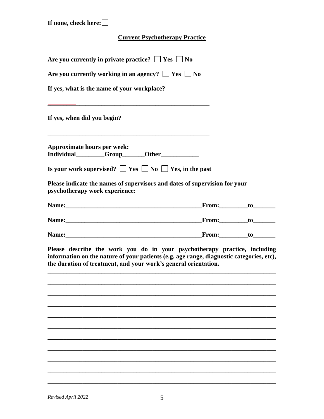#### **Current Psychotherapy Practice**

| Are you currently working in an agency? $\Box$ Yes $\Box$ No<br>Individual________Group______Other____________<br>Is your work supervised? $\square$ Yes $\square$ No $\square$ Yes, in the past<br>Please indicate the names of supervisors and dates of supervision for your<br>the duration of treatment, and your work's general orientation. |                                             |  |
|---------------------------------------------------------------------------------------------------------------------------------------------------------------------------------------------------------------------------------------------------------------------------------------------------------------------------------------------------|---------------------------------------------|--|
|                                                                                                                                                                                                                                                                                                                                                   |                                             |  |
|                                                                                                                                                                                                                                                                                                                                                   | If yes, what is the name of your workplace? |  |
| Please describe the work you do in your psychotherapy practice, including<br>information on the nature of your patients (e.g. age range, diagnostic categories, etc),                                                                                                                                                                             |                                             |  |
|                                                                                                                                                                                                                                                                                                                                                   | If yes, when did you begin?                 |  |
|                                                                                                                                                                                                                                                                                                                                                   |                                             |  |
|                                                                                                                                                                                                                                                                                                                                                   | <b>Approximate hours per week:</b>          |  |
|                                                                                                                                                                                                                                                                                                                                                   |                                             |  |
|                                                                                                                                                                                                                                                                                                                                                   | psychotherapy work experience:              |  |
|                                                                                                                                                                                                                                                                                                                                                   |                                             |  |
|                                                                                                                                                                                                                                                                                                                                                   |                                             |  |
|                                                                                                                                                                                                                                                                                                                                                   |                                             |  |
|                                                                                                                                                                                                                                                                                                                                                   |                                             |  |
|                                                                                                                                                                                                                                                                                                                                                   |                                             |  |
|                                                                                                                                                                                                                                                                                                                                                   |                                             |  |
|                                                                                                                                                                                                                                                                                                                                                   |                                             |  |
|                                                                                                                                                                                                                                                                                                                                                   |                                             |  |
|                                                                                                                                                                                                                                                                                                                                                   |                                             |  |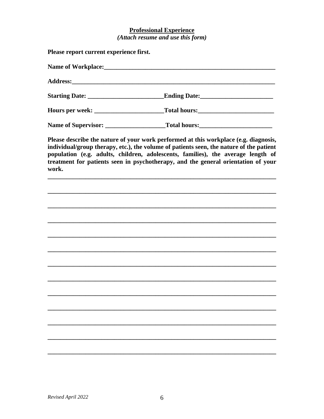# **Professional Experience**<br>(Attach resume and use this form)

| Please report current experience first. |                                                                                                                                                                                                                                                                                                                                                          |
|-----------------------------------------|----------------------------------------------------------------------------------------------------------------------------------------------------------------------------------------------------------------------------------------------------------------------------------------------------------------------------------------------------------|
|                                         |                                                                                                                                                                                                                                                                                                                                                          |
|                                         |                                                                                                                                                                                                                                                                                                                                                          |
|                                         |                                                                                                                                                                                                                                                                                                                                                          |
|                                         |                                                                                                                                                                                                                                                                                                                                                          |
|                                         |                                                                                                                                                                                                                                                                                                                                                          |
| work.                                   | Please describe the nature of your work performed at this workplace (e.g. diagnosis,<br>individual/group therapy, etc.), the volume of patients seen, the nature of the patient<br>population (e.g. adults, children, adolescents, families), the average length of<br>treatment for patients seen in psychotherapy, and the general orientation of your |
|                                         |                                                                                                                                                                                                                                                                                                                                                          |
|                                         |                                                                                                                                                                                                                                                                                                                                                          |
|                                         |                                                                                                                                                                                                                                                                                                                                                          |
|                                         |                                                                                                                                                                                                                                                                                                                                                          |
|                                         |                                                                                                                                                                                                                                                                                                                                                          |
|                                         |                                                                                                                                                                                                                                                                                                                                                          |
|                                         |                                                                                                                                                                                                                                                                                                                                                          |
|                                         |                                                                                                                                                                                                                                                                                                                                                          |
|                                         |                                                                                                                                                                                                                                                                                                                                                          |
|                                         |                                                                                                                                                                                                                                                                                                                                                          |
|                                         |                                                                                                                                                                                                                                                                                                                                                          |
|                                         |                                                                                                                                                                                                                                                                                                                                                          |
|                                         |                                                                                                                                                                                                                                                                                                                                                          |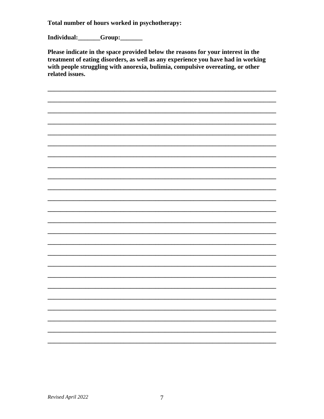Total number of hours worked in psychotherapy:

Individual:\_\_\_\_\_\_Group:\_\_\_\_\_\_

Please indicate in the space provided below the reasons for your interest in the treatment of eating disorders, as well as any experience you have had in working with people struggling with anorexia, bulimia, compulsive overeating, or other related issues.